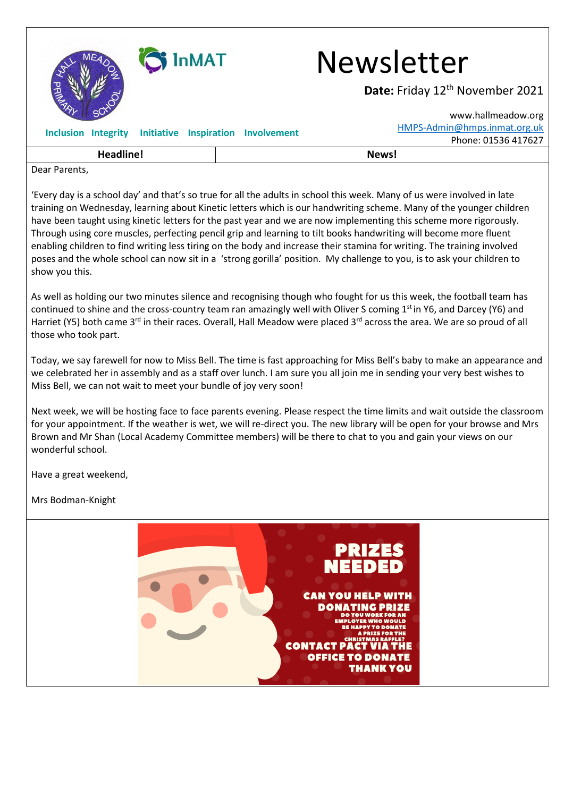

## InMAT Newsletter

Date: Friday 12<sup>th</sup> November 2021

| Headline! |                                |  |  | News!                                                  |                              |                     |
|-----------|--------------------------------|--|--|--------------------------------------------------------|------------------------------|---------------------|
|           |                                |  |  | Inclusion Integrity Initiative Inspiration Involvement |                              | Phone: 01536 417627 |
|           |                                |  |  |                                                        | HMPS-Admin@hmps.inmat.org.uk |                     |
|           | $\sim$ $\sim$<br><b>SULLEY</b> |  |  |                                                        |                              | www.hallmeadow.org  |

Dear Parents,

'Every day is a school day' and that's so true for all the adults in school this week. Many of us were involved in late training on Wednesday, learning about Kinetic letters which is our handwriting scheme. Many of the younger children have been taught using kinetic letters for the past year and we are now implementing this scheme more rigorously. Through using core muscles, perfecting pencil grip and learning to tilt books handwriting will become more fluent enabling children to find writing less tiring on the body and increase their stamina for writing. The training involved poses and the whole school can now sit in a 'strong gorilla' position. My challenge to you, is to ask your children to show you this.

As well as holding our two minutes silence and recognising though who fought for us this week, the football team has continued to shine and the cross-country team ran amazingly well with Oliver S coming 1<sup>st</sup> in Y6, and Darcey (Y6) and Harriet (Y5) both came 3<sup>rd</sup> in their races. Overall, Hall Meadow were placed 3<sup>rd</sup> across the area. We are so proud of all those who took part.

Today, we say farewell for now to Miss Bell. The time is fast approaching for Miss Bell's baby to make an appearance and we celebrated her in assembly and as a staff over lunch. I am sure you all join me in sending your very best wishes to Miss Bell, we can not wait to meet your bundle of joy very soon!

Next week, we will be hosting face to face parents evening. Please respect the time limits and wait outside the classroom for your appointment. If the weather is wet, we will re-direct you. The new library will be open for your browse and Mrs Brown and Mr Shan (Local Academy Committee members) will be there to chat to you and gain your views on our wonderful school.

Have a great weekend,

Mrs Bodman-Knight

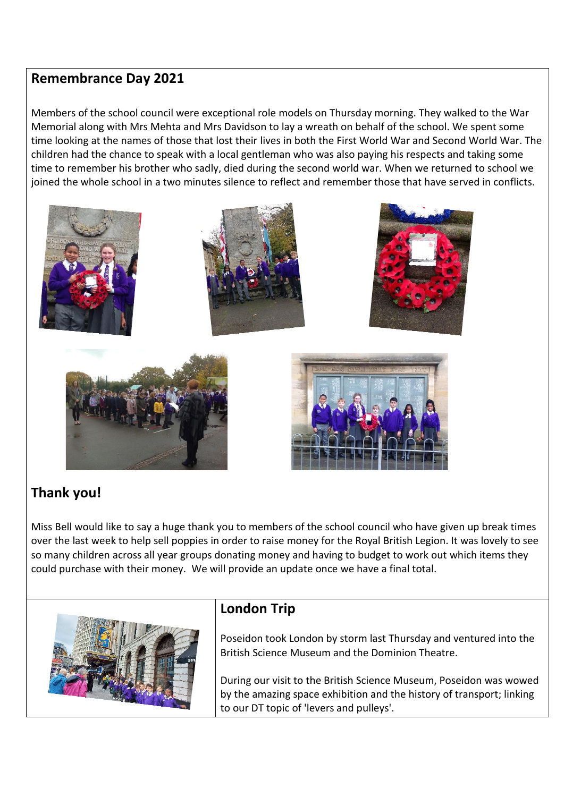## **Remembrance Day 2021**

Members of the school council were exceptional role models on Thursday morning. They walked to the War Memorial along with Mrs Mehta and Mrs Davidson to lay a wreath on behalf of the school. We spent some time looking at the names of those that lost their lives in both the First World War and Second World War. The children had the chance to speak with a local gentleman who was also paying his respects and taking some time to remember his brother who sadly, died during the second world war. When we returned to school we joined the whole school in a two minutes silence to reflect and remember those that have served in conflicts.



## **Thank you!**

Miss Bell would like to say a huge thank you to members of the school council who have given up break times over the last week to help sell poppies in order to raise money for the Royal British Legion. It was lovely to see so many children across all year groups donating money and having to budget to work out which items they could purchase with their money. We will provide an update once we have a final total.



## **London Trip**

Poseidon took London by storm last Thursday and ventured into the British Science Museum and the Dominion Theatre.

During our visit to the British Science Museum, Poseidon was wowed by the amazing space exhibition and the history of transport; linking to our DT topic of 'levers and pulleys'.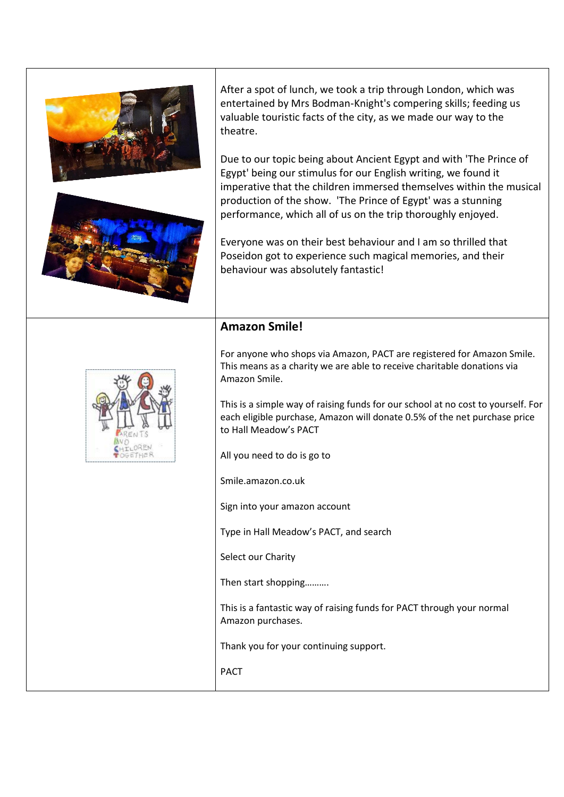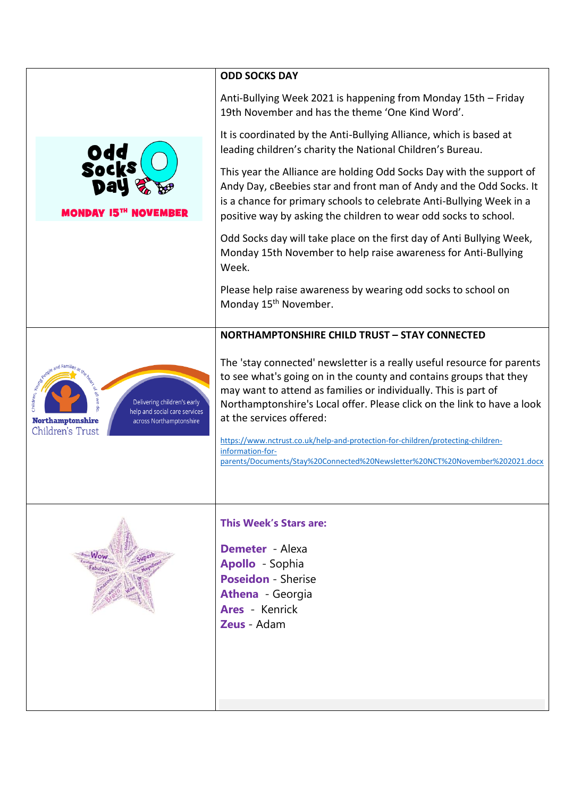|                                                                                                                                        | <b>ODD SOCKS DAY</b>                                                                                                                                                                                                                                                                                                                                                                                                                                                                                           |
|----------------------------------------------------------------------------------------------------------------------------------------|----------------------------------------------------------------------------------------------------------------------------------------------------------------------------------------------------------------------------------------------------------------------------------------------------------------------------------------------------------------------------------------------------------------------------------------------------------------------------------------------------------------|
|                                                                                                                                        | Anti-Bullying Week 2021 is happening from Monday 15th - Friday<br>19th November and has the theme 'One Kind Word'.                                                                                                                                                                                                                                                                                                                                                                                             |
|                                                                                                                                        | It is coordinated by the Anti-Bullying Alliance, which is based at<br>leading children's charity the National Children's Bureau.                                                                                                                                                                                                                                                                                                                                                                               |
| Odd<br>Socks<br>MONDAV 15'"                                                                                                            | This year the Alliance are holding Odd Socks Day with the support of<br>Andy Day, cBeebies star and front man of Andy and the Odd Socks. It<br>is a chance for primary schools to celebrate Anti-Bullying Week in a<br>positive way by asking the children to wear odd socks to school.                                                                                                                                                                                                                        |
|                                                                                                                                        | Odd Socks day will take place on the first day of Anti Bullying Week,<br>Monday 15th November to help raise awareness for Anti-Bullying<br>Week.                                                                                                                                                                                                                                                                                                                                                               |
|                                                                                                                                        | Please help raise awareness by wearing odd socks to school on<br>Monday 15 <sup>th</sup> November.                                                                                                                                                                                                                                                                                                                                                                                                             |
|                                                                                                                                        | <b>NORTHAMPTONSHIRE CHILD TRUST - STAY CONNECTED</b>                                                                                                                                                                                                                                                                                                                                                                                                                                                           |
| Delivering children's early<br>help and social care services<br><b>Northamptonshire</b><br>across Northamptonshire<br>Children's Trust | The 'stay connected' newsletter is a really useful resource for parents<br>to see what's going on in the county and contains groups that they<br>may want to attend as families or individually. This is part of<br>Northamptonshire's Local offer. Please click on the link to have a look<br>at the services offered:<br>https://www.nctrust.co.uk/help-and-protection-for-children/protecting-children-<br>information-for-<br>parents/Documents/Stay%20Connected%20Newsletter%20NCT%20November%202021.docx |
|                                                                                                                                        | <b>This Week's Stars are:</b><br><b>Demeter</b> Alexa<br><b>Apollo</b> - Sophia<br><b>Poseidon - Sherise</b><br><b>Athena</b> - Georgia<br><b>Ares</b> Kenrick<br>Zeus Adam                                                                                                                                                                                                                                                                                                                                    |
|                                                                                                                                        |                                                                                                                                                                                                                                                                                                                                                                                                                                                                                                                |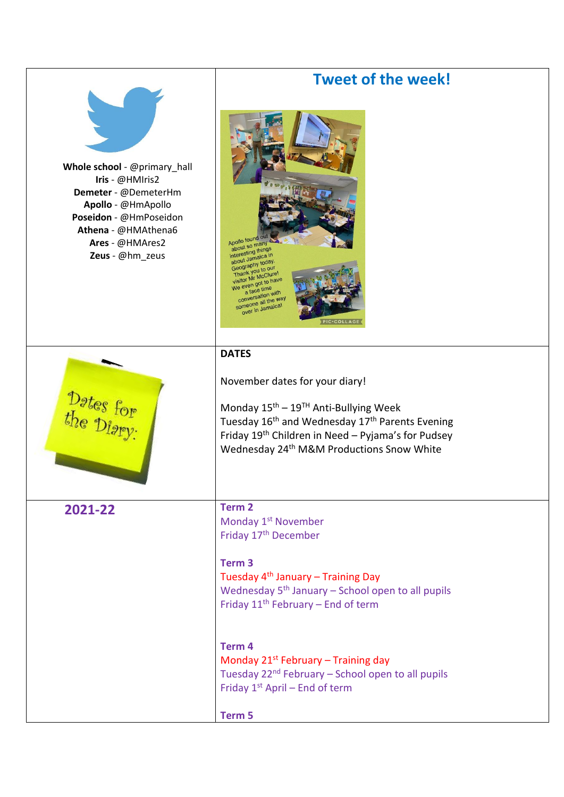|                                                                                                                                                                                      | <b>Tweet of the week!</b>                                                                                                                                                                                                                                                                           |  |  |
|--------------------------------------------------------------------------------------------------------------------------------------------------------------------------------------|-----------------------------------------------------------------------------------------------------------------------------------------------------------------------------------------------------------------------------------------------------------------------------------------------------|--|--|
| Whole school - @primary_hall<br>Iris - @HMIris2<br>Demeter - @DemeterHm<br>Apollo - @HmApollo<br>Poseidon - @HmPoseidon<br>Athena - @HMAthena6<br>Ares - @HMAres2<br>Zeus - @hm_zeus | Apollo found<br>about so many<br>interesting things<br>about Jamaica in<br>Geography today.<br>Thank you to our<br>visitor Mr McClure!<br>We even got to have<br>a face time<br>conversation with<br>someone all the way<br>over in Jamaica!<br><b>PIC</b> ·COLLA                                   |  |  |
|                                                                                                                                                                                      | <b>DATES</b>                                                                                                                                                                                                                                                                                        |  |  |
| Dates for                                                                                                                                                                            | November dates for your diary!<br>Monday $15^{\text{th}} - 19^{\text{TH}}$ Anti-Bullying Week<br>Tuesday 16 <sup>th</sup> and Wednesday 17 <sup>th</sup> Parents Evening<br>Friday 19 <sup>th</sup> Children in Need - Pyjama's for Pudsey<br>Wednesday 24 <sup>th</sup> M&M Productions Snow White |  |  |
| 2021-22                                                                                                                                                                              | Term <sub>2</sub><br>Monday 1 <sup>st</sup> November                                                                                                                                                                                                                                                |  |  |
|                                                                                                                                                                                      | Friday 17 <sup>th</sup> December<br>Term <sub>3</sub><br>Tuesday 4 <sup>th</sup> January - Training Day<br>Wednesday 5 <sup>th</sup> January - School open to all pupils<br>Friday 11 <sup>th</sup> February - End of term                                                                          |  |  |
|                                                                                                                                                                                      | Term <sub>4</sub><br>Monday 21 <sup>st</sup> February - Training day<br>Tuesday 22 <sup>nd</sup> February - School open to all pupils<br>Friday 1st April - End of term                                                                                                                             |  |  |
|                                                                                                                                                                                      | Term 5                                                                                                                                                                                                                                                                                              |  |  |